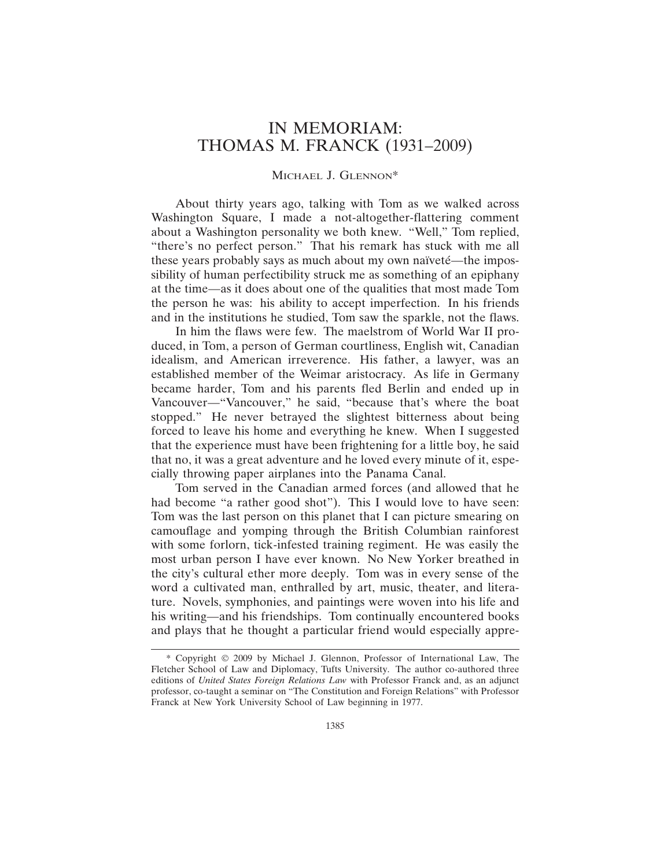## IN MEMORIAM: THOMAS M. FRANCK (1931–2009)

## MICHAEL J. GLENNON\*

About thirty years ago, talking with Tom as we walked across Washington Square, I made a not-altogether-flattering comment about a Washington personality we both knew. "Well," Tom replied, "there's no perfect person." That his remark has stuck with me all these years probably says as much about my own naïveté—the impossibility of human perfectibility struck me as something of an epiphany at the time—as it does about one of the qualities that most made Tom the person he was: his ability to accept imperfection. In his friends and in the institutions he studied, Tom saw the sparkle, not the flaws.

In him the flaws were few. The maelstrom of World War II produced, in Tom, a person of German courtliness, English wit, Canadian idealism, and American irreverence. His father, a lawyer, was an established member of the Weimar aristocracy. As life in Germany became harder, Tom and his parents fled Berlin and ended up in Vancouver—"Vancouver," he said, "because that's where the boat stopped." He never betrayed the slightest bitterness about being forced to leave his home and everything he knew. When I suggested that the experience must have been frightening for a little boy, he said that no, it was a great adventure and he loved every minute of it, especially throwing paper airplanes into the Panama Canal.

Tom served in the Canadian armed forces (and allowed that he had become "a rather good shot"). This I would love to have seen: Tom was the last person on this planet that I can picture smearing on camouflage and yomping through the British Columbian rainforest with some forlorn, tick-infested training regiment. He was easily the most urban person I have ever known. No New Yorker breathed in the city's cultural ether more deeply. Tom was in every sense of the word a cultivated man, enthralled by art, music, theater, and literature. Novels, symphonies, and paintings were woven into his life and his writing—and his friendships. Tom continually encountered books and plays that he thought a particular friend would especially appre-

<sup>\*</sup> Copyright © 2009 by Michael J. Glennon, Professor of International Law, The Fletcher School of Law and Diplomacy, Tufts University. The author co-authored three editions of *United States Foreign Relations Law* with Professor Franck and, as an adjunct professor, co-taught a seminar on "The Constitution and Foreign Relations" with Professor Franck at New York University School of Law beginning in 1977.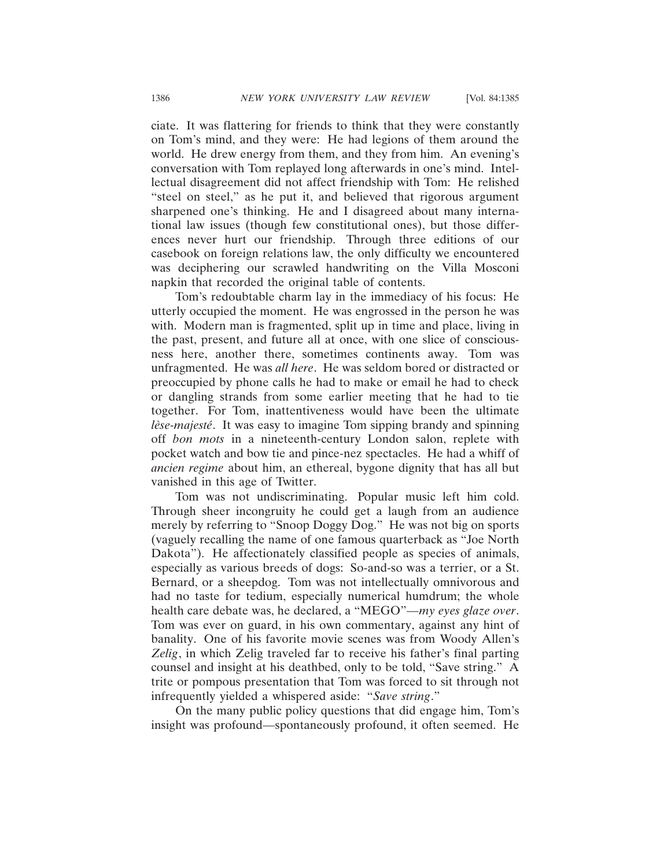ciate. It was flattering for friends to think that they were constantly on Tom's mind, and they were: He had legions of them around the world. He drew energy from them, and they from him. An evening's conversation with Tom replayed long afterwards in one's mind. Intellectual disagreement did not affect friendship with Tom: He relished "steel on steel," as he put it, and believed that rigorous argument sharpened one's thinking. He and I disagreed about many international law issues (though few constitutional ones), but those differences never hurt our friendship. Through three editions of our casebook on foreign relations law, the only difficulty we encountered was deciphering our scrawled handwriting on the Villa Mosconi napkin that recorded the original table of contents.

Tom's redoubtable charm lay in the immediacy of his focus: He utterly occupied the moment. He was engrossed in the person he was with. Modern man is fragmented, split up in time and place, living in the past, present, and future all at once, with one slice of consciousness here, another there, sometimes continents away. Tom was unfragmented. He was *all here*. He was seldom bored or distracted or preoccupied by phone calls he had to make or email he had to check or dangling strands from some earlier meeting that he had to tie together. For Tom, inattentiveness would have been the ultimate *lèse-majesté*. It was easy to imagine Tom sipping brandy and spinning off *bon mots* in a nineteenth-century London salon, replete with pocket watch and bow tie and pince-nez spectacles. He had a whiff of *ancien regime* about him, an ethereal, bygone dignity that has all but vanished in this age of Twitter.

Tom was not undiscriminating. Popular music left him cold. Through sheer incongruity he could get a laugh from an audience merely by referring to "Snoop Doggy Dog." He was not big on sports (vaguely recalling the name of one famous quarterback as "Joe North Dakota"). He affectionately classified people as species of animals, especially as various breeds of dogs: So-and-so was a terrier, or a St. Bernard, or a sheepdog. Tom was not intellectually omnivorous and had no taste for tedium, especially numerical humdrum; the whole health care debate was, he declared, a "MEGO"—*my eyes glaze over*. Tom was ever on guard, in his own commentary, against any hint of banality. One of his favorite movie scenes was from Woody Allen's *Zelig*, in which Zelig traveled far to receive his father's final parting counsel and insight at his deathbed, only to be told, "Save string." A trite or pompous presentation that Tom was forced to sit through not infrequently yielded a whispered aside: "*Save string*."

On the many public policy questions that did engage him, Tom's insight was profound—spontaneously profound, it often seemed. He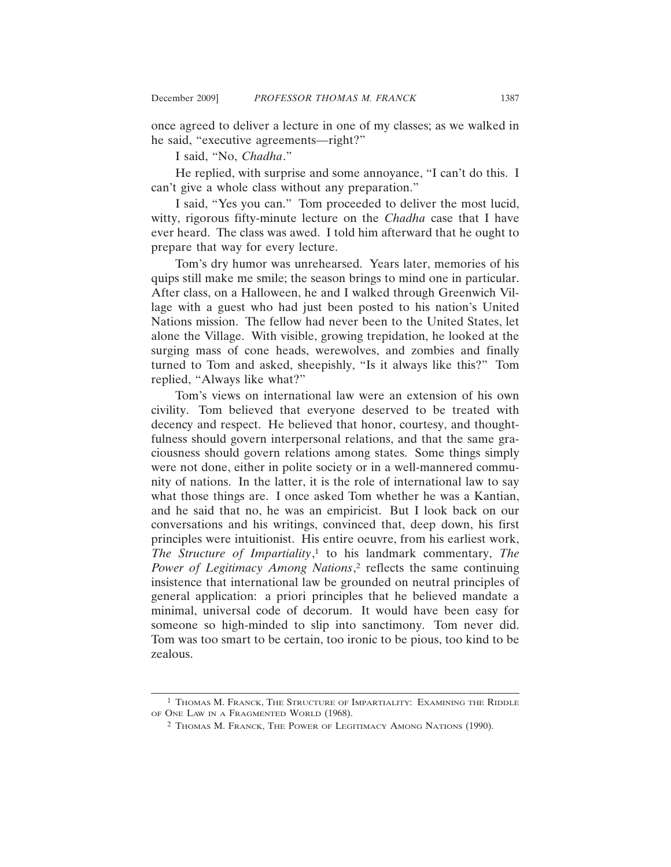once agreed to deliver a lecture in one of my classes; as we walked in he said, "executive agreements—right?"

I said, "No, *Chadha*."

He replied, with surprise and some annoyance, "I can't do this. I can't give a whole class without any preparation."

I said, "Yes you can." Tom proceeded to deliver the most lucid, witty, rigorous fifty-minute lecture on the *Chadha* case that I have ever heard. The class was awed. I told him afterward that he ought to prepare that way for every lecture.

Tom's dry humor was unrehearsed. Years later, memories of his quips still make me smile; the season brings to mind one in particular. After class, on a Halloween, he and I walked through Greenwich Village with a guest who had just been posted to his nation's United Nations mission. The fellow had never been to the United States, let alone the Village. With visible, growing trepidation, he looked at the surging mass of cone heads, werewolves, and zombies and finally turned to Tom and asked, sheepishly, "Is it always like this?" Tom replied, "Always like what?"

Tom's views on international law were an extension of his own civility. Tom believed that everyone deserved to be treated with decency and respect. He believed that honor, courtesy, and thoughtfulness should govern interpersonal relations, and that the same graciousness should govern relations among states. Some things simply were not done, either in polite society or in a well-mannered community of nations. In the latter, it is the role of international law to say what those things are. I once asked Tom whether he was a Kantian, and he said that no, he was an empiricist. But I look back on our conversations and his writings, convinced that, deep down, his first principles were intuitionist. His entire oeuvre, from his earliest work, *The Structure of Impartiality*, 1 to his landmark commentary, *The Power of Legitimacy Among Nations*, 2 reflects the same continuing insistence that international law be grounded on neutral principles of general application: a priori principles that he believed mandate a minimal, universal code of decorum. It would have been easy for someone so high-minded to slip into sanctimony. Tom never did. Tom was too smart to be certain, too ironic to be pious, too kind to be zealous.

<sup>1</sup> THOMAS M. FRANCK, THE STRUCTURE OF IMPARTIALITY: EXAMINING THE RIDDLE OF ONE LAW IN A FRAGMENTED WORLD (1968).

<sup>2</sup> THOMAS M. FRANCK, THE POWER OF LEGITIMACY AMONG NATIONS (1990).